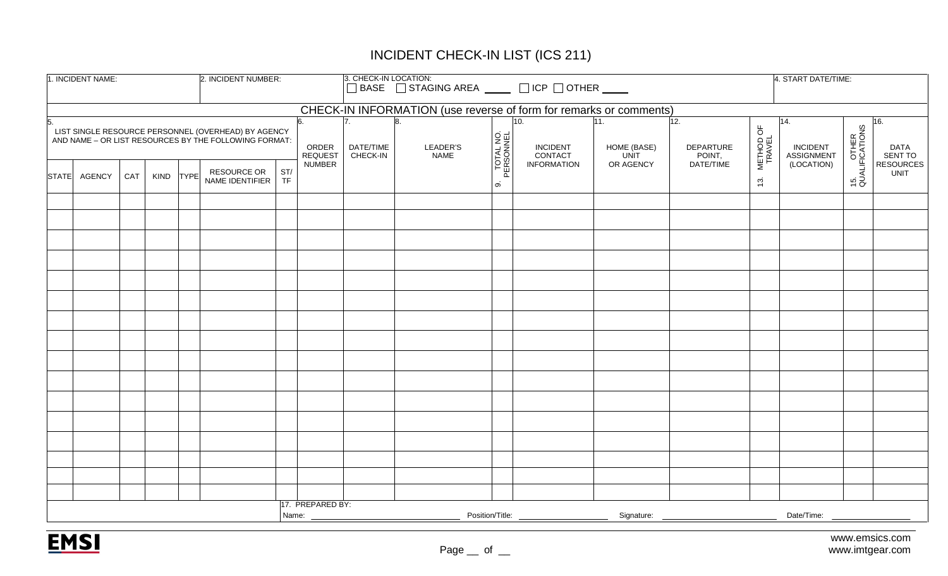## INCIDENT CHECK-IN LIST (ICS 211)

| 1. INCIDENT NAME:<br>2. INCIDENT NUMBER:                                                                                                      |     |             |             |                                       |           | 3. CHECK-IN LOCATION:<br>□BASE □ STAGING AREA ____ □ ICP □ OTHER ____ |                       |                                                                                                                                             |                        |                                   |                                   |                            | 4. START DATE/TIME: |                                             |                             |                               |
|-----------------------------------------------------------------------------------------------------------------------------------------------|-----|-------------|-------------|---------------------------------------|-----------|-----------------------------------------------------------------------|-----------------------|---------------------------------------------------------------------------------------------------------------------------------------------|------------------------|-----------------------------------|-----------------------------------|----------------------------|---------------------|---------------------------------------------|-----------------------------|-------------------------------|
|                                                                                                                                               |     |             |             |                                       |           |                                                                       |                       | CHECK-IN INFORMATION (use reverse of form for remarks or comments)                                                                          |                        |                                   |                                   |                            |                     |                                             |                             |                               |
| 5.<br>LIST SINGLE RESOURCE PERSONNEL (OVERHEAD) BY AGENCY<br>AND NAME - OR LIST RESOURCES BY THE FOLLOWING FORMAT:<br>ORDER<br><b>REQUEST</b> |     |             |             |                                       |           |                                                                       | DATE/TIME<br>CHECK-IN | LEADER'S<br><b>NAME</b>                                                                                                                     | TOTAL NO.<br>PERSONNEL | 10.<br><b>INCIDENT</b><br>CONTACT | 11.<br>HOME (BASE)<br><b>UNIT</b> | 12.<br>DEPARTURE<br>POINT, | METHOD OF<br>TRAVEL | 14.<br><b>INCIDENT</b><br><b>ASSIGNMENT</b> | 15. OTHER<br>QUALIFICATIONS | 16.<br><b>DATA</b><br>SENT TO |
| STATE AGENCY                                                                                                                                  | CAT | <b>KIND</b> | <b>TYPE</b> | <b>RESOURCE OR</b><br>NAME IDENTIFIER | ST/<br>TF | <b>NUMBER</b>                                                         |                       |                                                                                                                                             | $\infty$               | <b>INFORMATION</b>                | OR AGENCY                         | DATE/TIME                  | $\ddot{3}$          | (LOCATION)                                  |                             | <b>RESOURCES</b><br>UNIT      |
|                                                                                                                                               |     |             |             |                                       |           |                                                                       |                       |                                                                                                                                             |                        |                                   |                                   |                            |                     |                                             |                             |                               |
|                                                                                                                                               |     |             |             |                                       |           |                                                                       |                       |                                                                                                                                             |                        |                                   |                                   |                            |                     |                                             |                             |                               |
|                                                                                                                                               |     |             |             |                                       |           |                                                                       |                       |                                                                                                                                             |                        |                                   |                                   |                            |                     |                                             |                             |                               |
|                                                                                                                                               |     |             |             |                                       |           |                                                                       |                       |                                                                                                                                             |                        |                                   |                                   |                            |                     |                                             |                             |                               |
|                                                                                                                                               |     |             |             |                                       |           |                                                                       |                       |                                                                                                                                             |                        |                                   |                                   |                            |                     |                                             |                             |                               |
|                                                                                                                                               |     |             |             |                                       |           |                                                                       |                       |                                                                                                                                             |                        |                                   |                                   |                            |                     |                                             |                             |                               |
|                                                                                                                                               |     |             |             |                                       |           |                                                                       |                       |                                                                                                                                             |                        |                                   |                                   |                            |                     |                                             |                             |                               |
|                                                                                                                                               |     |             |             |                                       |           |                                                                       |                       |                                                                                                                                             |                        |                                   |                                   |                            |                     |                                             |                             |                               |
|                                                                                                                                               |     |             |             |                                       |           |                                                                       |                       |                                                                                                                                             |                        |                                   |                                   |                            |                     |                                             |                             |                               |
|                                                                                                                                               |     |             |             |                                       |           |                                                                       |                       |                                                                                                                                             |                        |                                   |                                   |                            |                     |                                             |                             |                               |
|                                                                                                                                               |     |             |             |                                       |           |                                                                       |                       |                                                                                                                                             |                        |                                   |                                   |                            |                     |                                             |                             |                               |
|                                                                                                                                               |     |             |             |                                       |           |                                                                       |                       |                                                                                                                                             |                        |                                   |                                   |                            |                     |                                             |                             |                               |
|                                                                                                                                               |     |             |             |                                       |           |                                                                       |                       |                                                                                                                                             |                        |                                   |                                   |                            |                     |                                             |                             |                               |
|                                                                                                                                               |     |             |             |                                       |           |                                                                       |                       |                                                                                                                                             |                        |                                   |                                   |                            |                     |                                             |                             |                               |
|                                                                                                                                               |     |             |             |                                       |           |                                                                       |                       |                                                                                                                                             |                        |                                   |                                   |                            |                     |                                             |                             |                               |
|                                                                                                                                               |     |             |             |                                       |           |                                                                       |                       |                                                                                                                                             |                        |                                   |                                   |                            |                     |                                             |                             |                               |
|                                                                                                                                               |     |             |             |                                       |           |                                                                       |                       |                                                                                                                                             |                        |                                   |                                   |                            |                     |                                             |                             |                               |
|                                                                                                                                               |     |             |             |                                       |           | 17. PREPARED BY:<br>Name: __                                          |                       | Position/Title:<br>$\begin{array}{c} \begin{array}{c} \begin{array}{c} \begin{array}{c} \end{array} \\ \end{array} \end{array} \end{array}$ |                        |                                   | Signature:                        |                            |                     | Date/Time:                                  |                             |                               |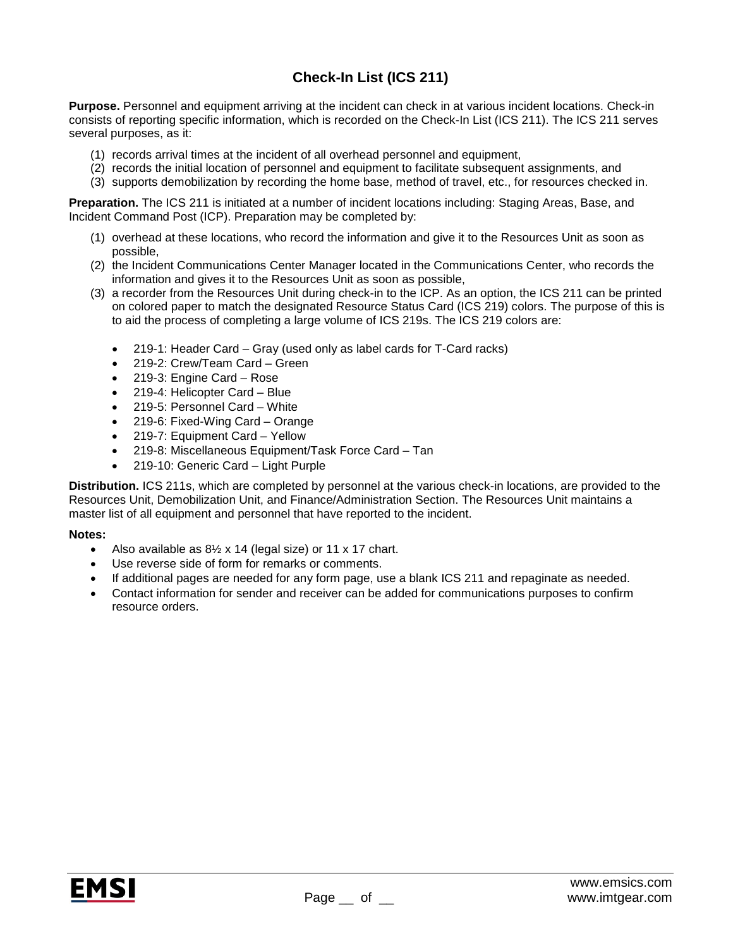## **Check-In List (ICS 211)**

**Purpose.** Personnel and equipment arriving at the incident can check in at various incident locations. Check-in consists of reporting specific information, which is recorded on the Check-In List (ICS 211). The ICS 211 serves several purposes, as it:

- (1) records arrival times at the incident of all overhead personnel and equipment,
- (2) records the initial location of personnel and equipment to facilitate subsequent assignments, and
- (3) supports demobilization by recording the home base, method of travel, etc., for resources checked in.

**Preparation.** The ICS 211 is initiated at a number of incident locations including: Staging Areas, Base, and Incident Command Post (ICP). Preparation may be completed by:

- (1) overhead at these locations, who record the information and give it to the Resources Unit as soon as possible,
- (2) the Incident Communications Center Manager located in the Communications Center, who records the information and gives it to the Resources Unit as soon as possible,
- (3) a recorder from the Resources Unit during check-in to the ICP. As an option, the ICS 211 can be printed on colored paper to match the designated Resource Status Card (ICS 219) colors. The purpose of this is to aid the process of completing a large volume of ICS 219s. The ICS 219 colors are:
	- 219-1: Header Card Gray (used only as label cards for T-Card racks)
	- 219-2: Crew/Team Card Green
	- 219-3: Engine Card Rose
	- 219-4: Helicopter Card Blue
	- 219-5: Personnel Card White
	- 219-6: Fixed-Wing Card Orange
	- 219-7: Equipment Card Yellow
	- 219-8: Miscellaneous Equipment/Task Force Card Tan
	- 219-10: Generic Card Light Purple

**Distribution.** ICS 211s, which are completed by personnel at the various check-in locations, are provided to the Resources Unit, Demobilization Unit, and Finance/Administration Section. The Resources Unit maintains a master list of all equipment and personnel that have reported to the incident.

## **Notes:**

- Also available as  $8\frac{1}{2}$  x 14 (legal size) or 11 x 17 chart.
- Use reverse side of form for remarks or comments.
- If additional pages are needed for any form page, use a blank ICS 211 and repaginate as needed.
- Contact information for sender and receiver can be added for communications purposes to confirm resource orders.